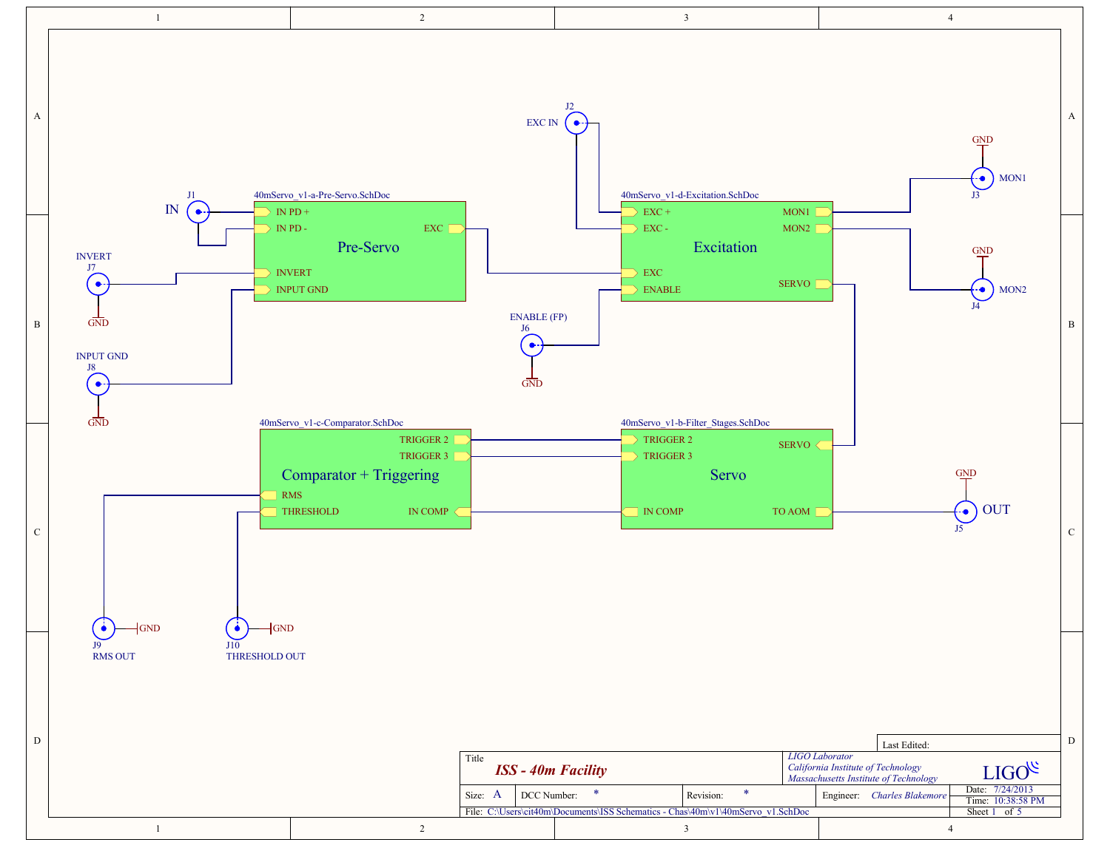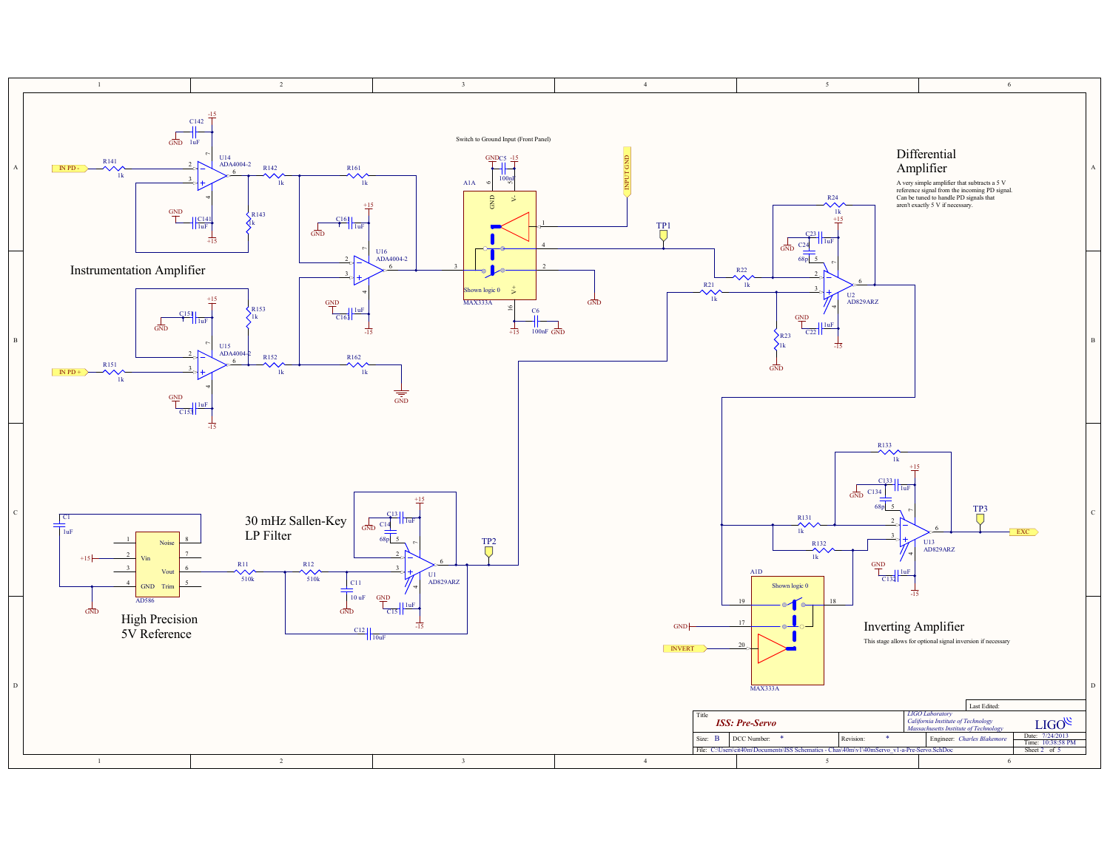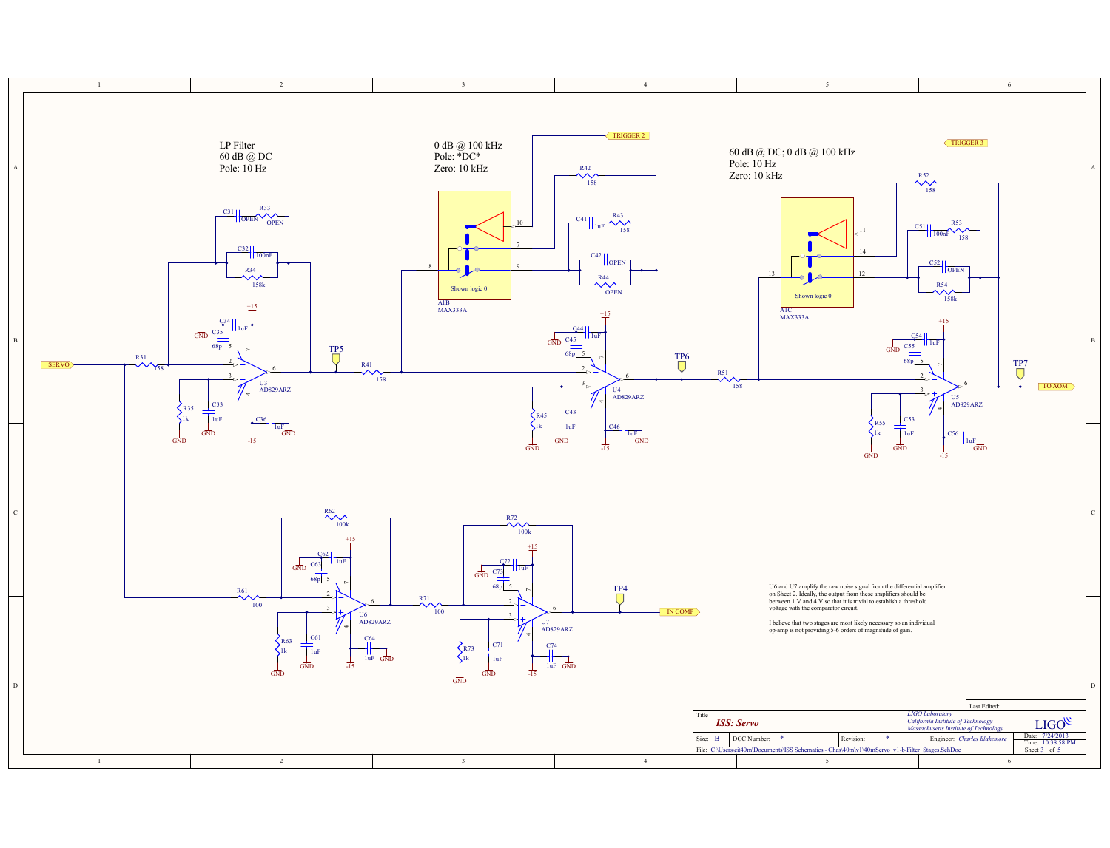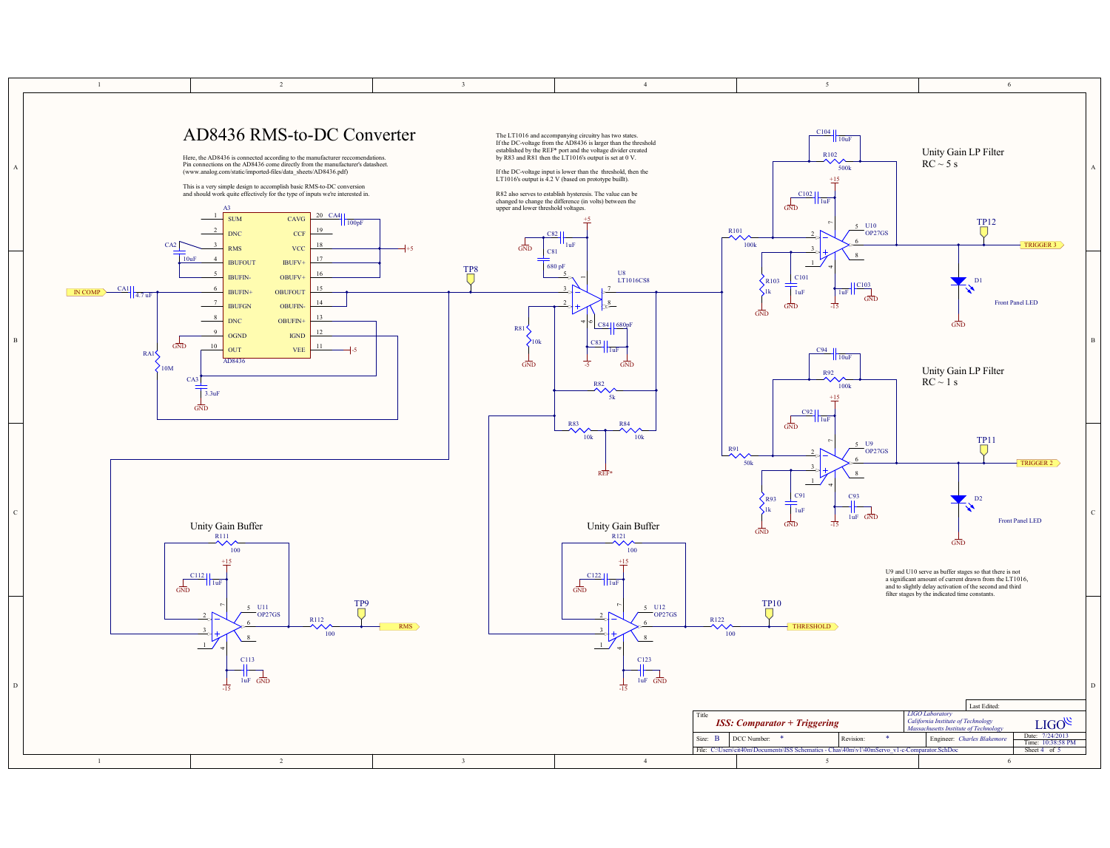